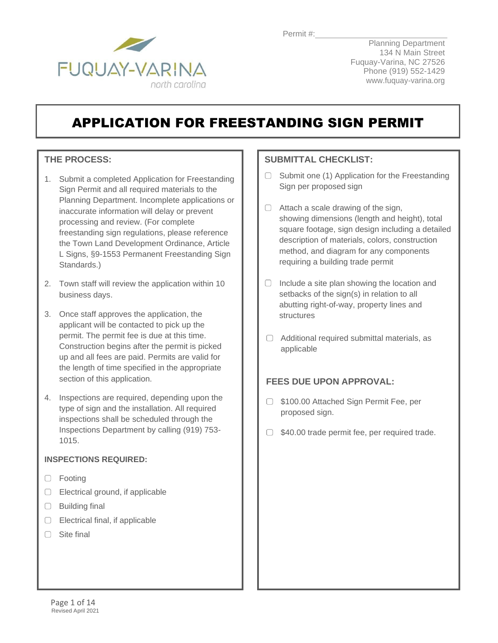

Planning Department 134 N Main Street Fuquay-Varina, NC 27526 Phone (919) 552-1429 [www.fuquay-varina.org](http://www.fuquay-varina.org/)

# APPLICATION FOR FREESTANDING SIGN PERMIT

### **THE PROCESS:**

- 1. Submit a completed Application for Freestanding Sign Permit and all required materials to the Planning Department. Incomplete applications or inaccurate information will delay or prevent processing and review. (For complete freestanding sign regulations, please reference the Town Land Development Ordinance, Article L Signs, §9-1553 Permanent Freestanding Sign Standards.)
- 2. Town staff will review the application within 10 business days.
- 3. Once staff approves the application, the applicant will be contacted to pick up the permit. The permit fee is due at this time. Construction begins after the permit is picked up and all fees are paid. Permits are valid for the length of time specified in the appropriate section of this application.
- 4. Inspections are required, depending upon the type of sign and the installation. All required inspections shall be scheduled through the Inspections Department by calling (919) 753- 1015.

### **INSPECTIONS REQUIRED:**

- □ Footing
- $\Box$  Electrical ground, if applicable
- $\Box$  Building final
- $\Box$  Electrical final, if applicable
- $\Box$  Site final

### **SUBMITTAL CHECKLIST:**

- $\Box$  Submit one (1) Application for the Freestanding Sign per proposed sign
- $\Box$  Attach a scale drawing of the sign, showing dimensions (length and height), total square footage, sign design including a detailed description of materials, colors, construction method, and diagram for any components requiring a building trade permit
- $\Box$  Include a site plan showing the location and setbacks of the sign(s) in relation to all abutting right-of-way, property lines and structures
- $\Box$  Additional required submittal materials, as applicable

### **FEES DUE UPON APPROVAL:**

- □ \$100.00 Attached Sign Permit Fee, per proposed sign.
- $\Box$  \$40.00 trade permit fee, per required trade.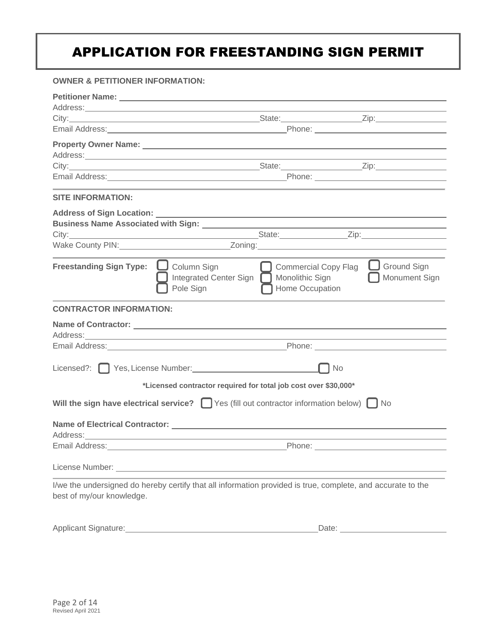### **OWNER & PETITIONER INFORMATION:**

| Address: Andreas Address: Address: Address: Address: Address: Address: Address: Address: Address: Address: Address: Address: Address: Address: Address: Address: Address: Address: Address: Address: Address: Address: Address |                                                                             |                                                                 |                                     |
|--------------------------------------------------------------------------------------------------------------------------------------------------------------------------------------------------------------------------------|-----------------------------------------------------------------------------|-----------------------------------------------------------------|-------------------------------------|
|                                                                                                                                                                                                                                |                                                                             |                                                                 |                                     |
|                                                                                                                                                                                                                                |                                                                             |                                                                 |                                     |
| Property Owner Name: 2008 2010 2020 2021 2022 2023 2024 2022 2022 2023 2024 2022 2023 2024 2022 2023 2024 2022                                                                                                                 |                                                                             |                                                                 |                                     |
| Address: Andreas Address: Address: Address: Address: Address: Address: Address: Address: Address: Address: Address: Address: Address: Address: Address: Address: Address: Address: Address: Address: Address: Address: Address |                                                                             |                                                                 |                                     |
|                                                                                                                                                                                                                                |                                                                             |                                                                 |                                     |
|                                                                                                                                                                                                                                |                                                                             |                                                                 |                                     |
| <b>SITE INFORMATION:</b>                                                                                                                                                                                                       |                                                                             |                                                                 |                                     |
|                                                                                                                                                                                                                                |                                                                             |                                                                 |                                     |
|                                                                                                                                                                                                                                |                                                                             |                                                                 |                                     |
|                                                                                                                                                                                                                                |                                                                             |                                                                 |                                     |
| Wake County PIN: Note and Manual Marian Control of Tomas Andrew Marian County PIN:                                                                                                                                             |                                                                             |                                                                 |                                     |
| <b>Freestanding Sign Type:</b>                                                                                                                                                                                                 | $\Box$ Column Sign<br>Integrated Center Sign   Monolithic Sign<br>Pole Sign | <b>Commercial Copy Flag</b><br>Home Occupation                  | $\Box$ Ground Sign<br>Monument Sign |
| <b>CONTRACTOR INFORMATION:</b>                                                                                                                                                                                                 |                                                                             |                                                                 |                                     |
|                                                                                                                                                                                                                                |                                                                             |                                                                 |                                     |
| Address: Andreas Address Address Andreas Address Address Address Address Address Address Address Address Address Address Address Address Address Address Address Address Address Address Address Address Address Address Addre |                                                                             |                                                                 |                                     |
|                                                                                                                                                                                                                                |                                                                             |                                                                 |                                     |
| Licensed?: Ves, License Number: Vester Allen Mumber 2014                                                                                                                                                                       |                                                                             | <b>No</b>                                                       |                                     |
|                                                                                                                                                                                                                                |                                                                             | *Licensed contractor required for total job cost over \$30,000* |                                     |
| Will the sign have electrical service? $\Box$ Yes (fill out contractor information below) $\Box$ No                                                                                                                            |                                                                             |                                                                 |                                     |
|                                                                                                                                                                                                                                |                                                                             |                                                                 |                                     |
|                                                                                                                                                                                                                                |                                                                             |                                                                 |                                     |
| Email Address: Management Address: Management Address: Management Address: Management Address: Management Address: Management Address: Management Address: Management Address: Management Address: Management Address: Managem |                                                                             |                                                                 |                                     |
| License Number: <u>Cambridge Communication</u>                                                                                                                                                                                 |                                                                             |                                                                 |                                     |
| I/we the undersigned do hereby certify that all information provided is true, complete, and accurate to the<br>best of my/our knowledge.                                                                                       |                                                                             |                                                                 |                                     |
| Applicant Signature: Management Signature:                                                                                                                                                                                     |                                                                             |                                                                 |                                     |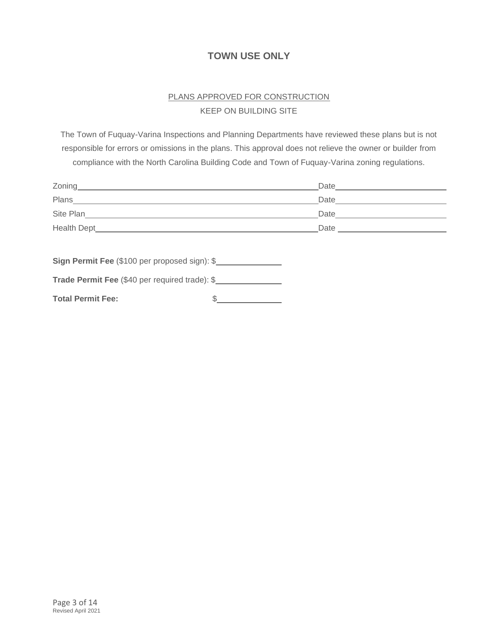### **TOWN USE ONLY**

### PLANS APPROVED FOR CONSTRUCTION KEEP ON BUILDING SITE

The Town of Fuquay-Varina Inspections and Planning Departments have reviewed these plans but is not responsible for errors or omissions in the plans. This approval does not relieve the owner or builder from compliance with the North Carolina Building Code and Town of Fuquay-Varina zoning regulations.

|                                                | Date <u>____________________</u> |  |
|------------------------------------------------|----------------------------------|--|
| Plans <b>Propriet and Plans</b>                | Date <u>_________________</u>    |  |
|                                                | Date <u>__________________</u>   |  |
|                                                |                                  |  |
|                                                |                                  |  |
| Sign Permit Fee (\$100 per proposed sign): \$  |                                  |  |
| Trade Permit Fee (\$40 per required trade): \$ |                                  |  |

| <b>Total Permit Fee:</b> |  |
|--------------------------|--|
|--------------------------|--|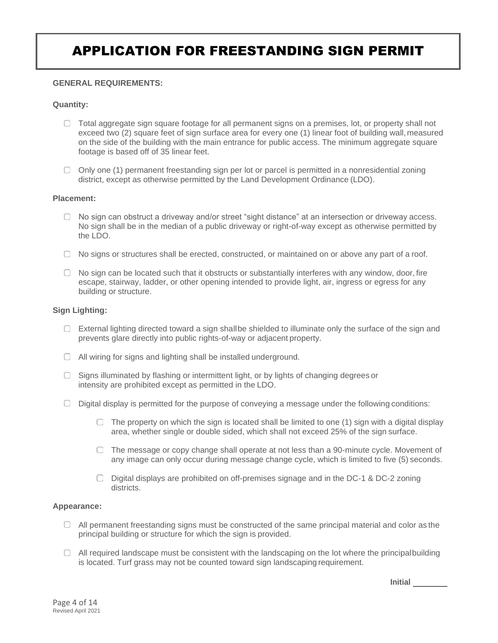### **GENERAL REQUIREMENTS:**

### **Quantity:**

- $\Box$  Total aggregate sign square footage for all permanent signs on a premises, lot, or property shall not exceed two (2) square feet of sign surface area for every one (1) linear foot of building wall, measured on the side of the building with the main entrance for public access. The minimum aggregate square footage is based off of 35 linear feet.
- $\Box$  Only one (1) permanent freestanding sign per lot or parcel is permitted in a nonresidential zoning district, except as otherwise permitted by the Land Development Ordinance (LDO).

#### **Placement:**

- $\Box$  No sign can obstruct a driveway and/or street "sight distance" at an intersection or driveway access. No sign shall be in the median of a public driveway or right-of-way except as otherwise permitted by the LDO.
- $\Box$  No signs or structures shall be erected, constructed, or maintained on or above any part of a roof.
- $\Box$  No sign can be located such that it obstructs or substantially interferes with any window, door, fire escape, stairway, ladder, or other opening intended to provide light, air, ingress or egress for any building or structure.

#### **Sign Lighting:**

- $\Box$  External lighting directed toward a sign shallbe shielded to illuminate only the surface of the sign and prevents glare directly into public rights-of-way or adjacent property.
- All wiring for signs and lighting shall be installed underground.
- $\Box$  Signs illuminated by flashing or intermittent light, or by lights of changing degrees or intensity are prohibited except as permitted in the LDO.
- $\Box$  Digital display is permitted for the purpose of conveying a message under the following conditions:
	- $\Box$  The property on which the sign is located shall be limited to one (1) sign with a digital display area, whether single or double sided, which shall not exceed 25% of the sign surface.
	- $\Box$  The message or copy change shall operate at not less than a 90-minute cycle. Movement of any image can only occur during message change cycle, which is limited to five (5) seconds.
	- $\Box$  Digital displays are prohibited on off-premises signage and in the DC-1 & DC-2 zoning districts.

#### **Appearance:**

- $\Box$  All permanent freestanding signs must be constructed of the same principal material and color as the principal building or structure for which the sign is provided.
- $\Box$  All required landscape must be consistent with the landscaping on the lot where the principalbuilding is located. Turf grass may not be counted toward sign landscaping requirement.

**Initial**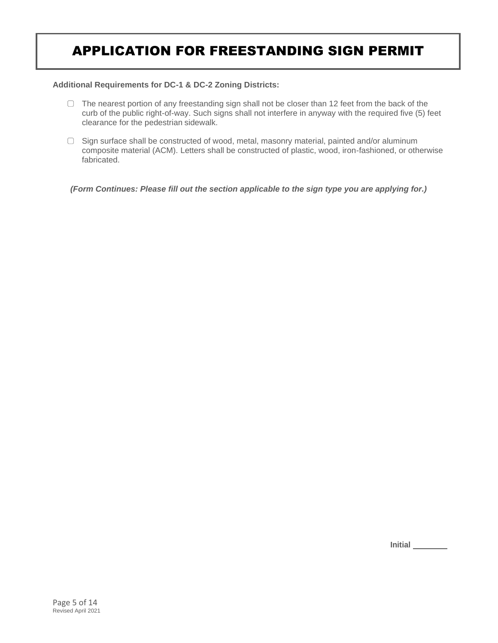#### **Additional Requirements for DC-1 & DC-2 Zoning Districts:**

- $\Box$  The nearest portion of any freestanding sign shall not be closer than 12 feet from the back of the curb of the public right-of-way. Such signs shall not interfere in anyway with the required five (5) feet clearance for the pedestrian sidewalk.
- $\Box$  Sign surface shall be constructed of wood, metal, masonry material, painted and/or aluminum composite material (ACM). Letters shall be constructed of plastic, wood, iron-fashioned, or otherwise fabricated.

*(Form Continues: Please fill out the section applicable to the sign type you are applying for.)*

**Initial**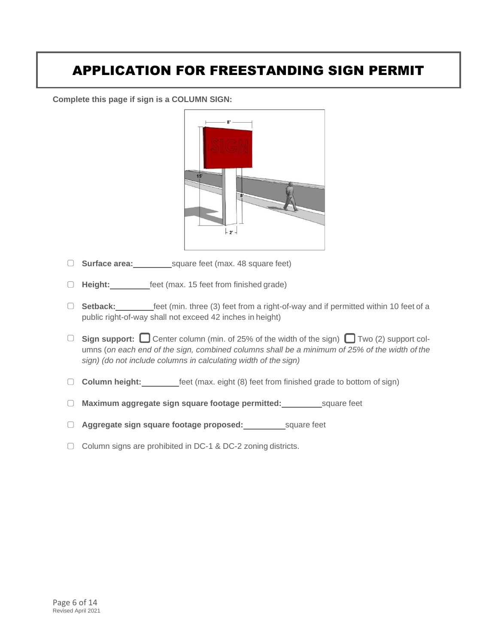**Complete this page if sign is a COLUMN SIGN:**



- □ **Surface area:** square feet (max. 48 square feet)
- **Height:** feet (max. 15 feet from finished grade)
- □ **Setback:** \_\_\_\_\_\_\_\_\_\_feet (min. three (3) feet from a right-of-way and if permitted within 10 feet of a public right-of-way shall not exceed 42 inches in height)
- □ **Sign support:** Center column (min. of 25% of the width of the sign) Two (2) support columns (*on each end of the sign, combined columns shall be a minimum of 25% of the width of the sign) (do not include columns in calculating width of the sign)*
- **Column height:** feet (max. eight (8) feet from finished grade to bottom of sign)
- **Maximum aggregate sign square footage permitted:** square feet
- **Aggregate sign square footage proposed:** square feet
- ◯ Column signs are prohibited in DC-1 & DC-2 zoning districts.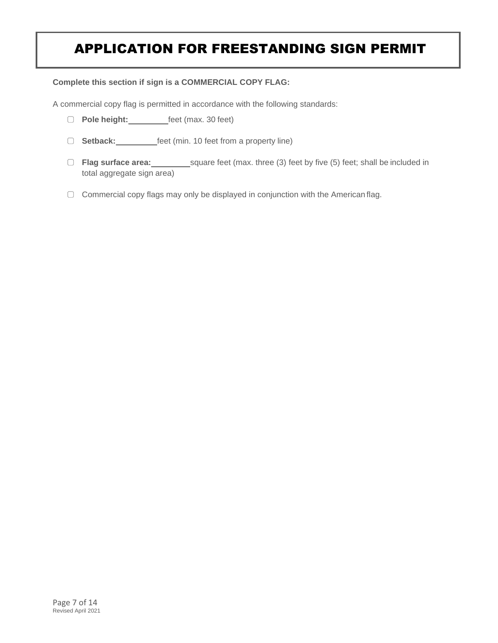#### **Complete this section if sign is a COMMERCIAL COPY FLAG:**

A commercial copy flag is permitted in accordance with the following standards:

- **Pole height: Figure 10 feet** (max. 30 feet)
- □ **Setback:** feet (min. 10 feet from a property line)
- □ Flag surface area: square feet (max. three (3) feet by five (5) feet; shall be included in total aggregate sign area)
- $\Box$  Commercial copy flags may only be displayed in conjunction with the American flag.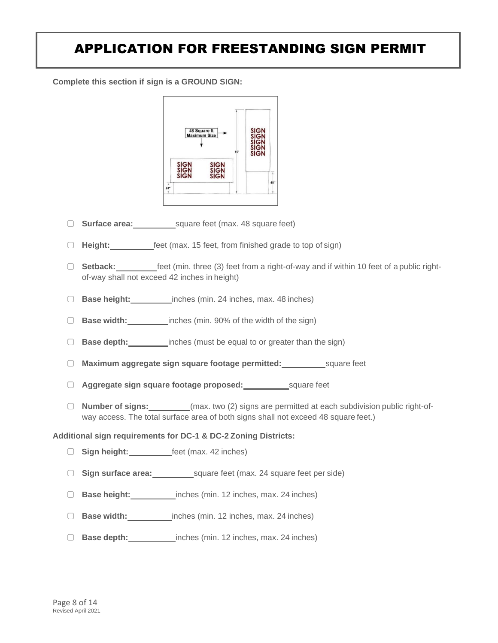**Complete this section if sign is a GROUND SIGN:**



- **Surface area:** square feet (max. 48 square feet)
- **Height:** feet (max. 15 feet, from finished grade to top of sign)
- **Setback:** feet (min. three (3) feet from a right-of-way and if within 10 feet of a public rightof-way shall not exceed 42 inches in height)
- **Base height:** inches (min. 24 inches, max. 48 inches)
- **Base width:** inches (min. 90% of the width of the sign)
- **Base depth:** inches (must be equal to or greater than the sign)
- **Maximum aggregate sign square footage permitted:** square feet
- **Aggregate sign square footage proposed:** square feet
- **Number of signs:** (max. two (2) signs are permitted at each subdivision public right-ofway access. The total surface area of both signs shall not exceed 48 square feet.)

#### **Additional sign requirements for DC-1 & DC-2 Zoning Districts:**

- **Sign height:** feet (max. 42 inches)
- □ **Sign surface area:** square feet (max. 24 square feet per side)
- **Base height:** inches (min. 12 inches, max. 24 inches)
- **Base width:** inches (min. 12 inches, max. 24 inches)
- **Base depth:** inches (min. 12 inches, max. 24 inches)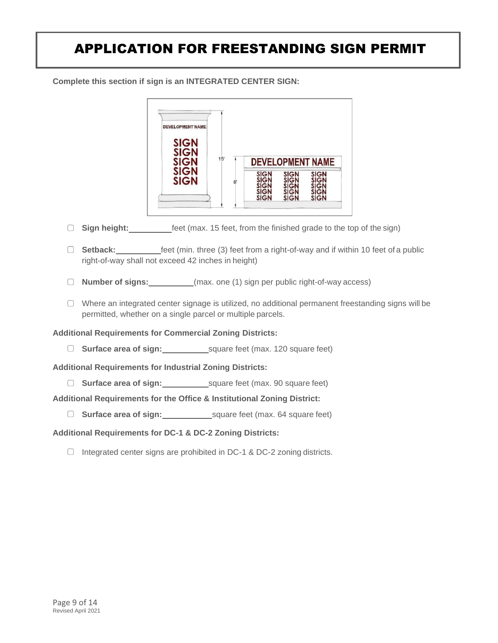**Complete this section if sign is an INTEGRATED CENTER SIGN:**



- **Sign height:** feet (max. 15 feet, from the finished grade to the top of the sign)
- □ **Setback:** feet (min. three (3) feet from a right-of-way and if within 10 feet of a public right-of-way shall not exceed 42 inches in height)
- **Number of signs:** (max. one (1) sign per public right-of-way access)
- Where an integrated center signage is utilized, no additional permanent freestanding signs will be permitted, whether on a single parcel or multiple parcels.

**Additional Requirements for Commercial Zoning Districts:**

**Surface area of sign:** square feet (max. 120 square feet)

**Additional Requirements for Industrial Zoning Districts:**

**Surface area of sign:** square feet (max. 90 square feet)

**Additional Requirements for the Office & Institutional Zoning District:**

**Surface area of sign:** square feet (max. 64 square feet)

### **Additional Requirements for DC-1 & DC-2 Zoning Districts:**

 $\Box$  Integrated center signs are prohibited in DC-1 & DC-2 zoning districts.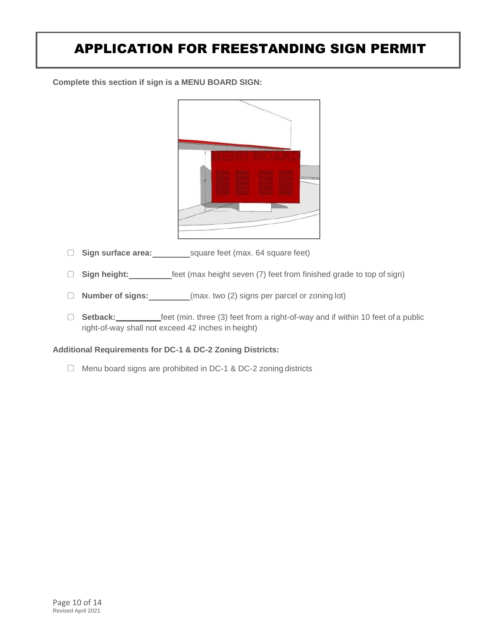**Complete this section if sign is a MENU BOARD SIGN:**



- □ **Sign surface area:** square feet (max. 64 square feet)
- **Sign height:** feet (max height seven (7) feet from finished grade to top of sign)
- **Number of signs:** (max. two (2) signs per parcel or zoning lot)
- □ **Setback:** feet (min. three (3) feet from a right-of-way and if within 10 feet of a public right-of-way shall not exceed 42 inches in height)

### **Additional Requirements for DC-1 & DC-2 Zoning Districts:**

Menu board signs are prohibited in DC-1 & DC-2 zoning districts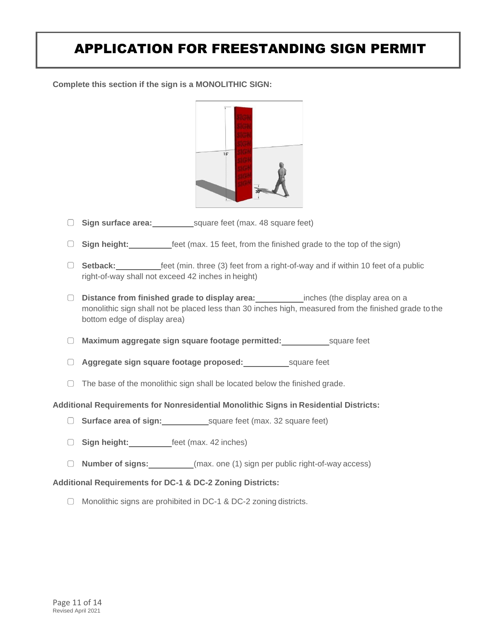**Complete this section if the sign is a MONOLITHIC SIGN:**



- □ **Sign surface area:** square feet (max. 48 square feet)
- □ Sign height: **feet** (max. 15 feet, from the finished grade to the top of the sign)
- **Setback:** feet (min. three (3) feet from a right-of-way and if within 10 feet of a public right-of-way shall not exceed 42 inches in height)
- **Distance from finished grade to display area:** inches (the display area on a monolithic sign shall not be placed less than 30 inches high, measured from the finished grade to the bottom edge of display area)
- **Maximum aggregate sign square footage permitted:** square feet
- **Aggregate sign square footage proposed:** square feet
- $\Box$  The base of the monolithic sign shall be located below the finished grade.

#### **Additional Requirements for Nonresidential Monolithic Signs in Residential Districts:**

- **Surface area of sign:** square feet (max. 32 square feet)
- **Sign height:** feet (max. 42 inches)
- **Number of signs:** (max. one (1) sign per public right-of-way access)

#### **Additional Requirements for DC-1 & DC-2 Zoning Districts:**

 $\Box$  Monolithic signs are prohibited in DC-1 & DC-2 zoning districts.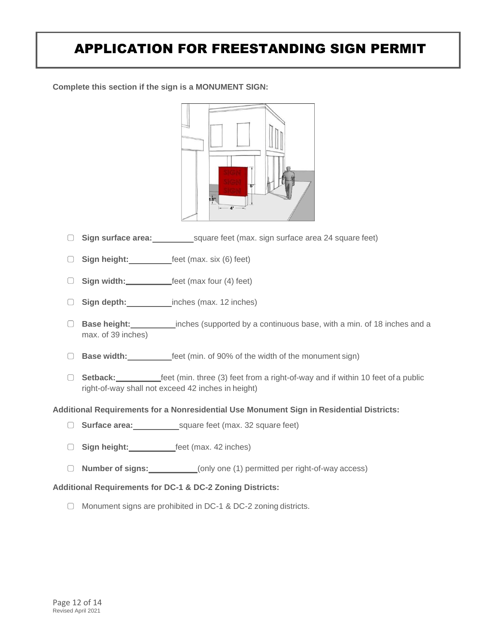**Complete this section if the sign is a MONUMENT SIGN:**



- **Sign surface area:** square feet (max. sign surface area 24 square feet)
- □ Sign height: **feet** (max. six (6) feet)
- □ Sign width: **feet** (max four (4) feet)
- □ Sign depth: inches (max. 12 inches)
- **Base height:** inches (supported by a continuous base, with a min. of 18 inches and a max. of 39 inches)
- **Base width: feet** (min. of 90% of the width of the monument sign)
- **Setback:** feet (min. three (3) feet from a right-of-way and if within 10 feet of a public right-of-way shall not exceed 42 inches in height)

#### **Additional Requirements for a Nonresidential Use Monument Sign in Residential Districts:**

- □ **Surface area:** square feet (max. 32 square feet)
- **Sign height:** feet (max. 42 inches)
- **Number of signs:** (only one (1) permitted per right-of-way access)

#### **Additional Requirements for DC-1 & DC-2 Zoning Districts:**

 $\Box$  Monument signs are prohibited in DC-1 & DC-2 zoning districts.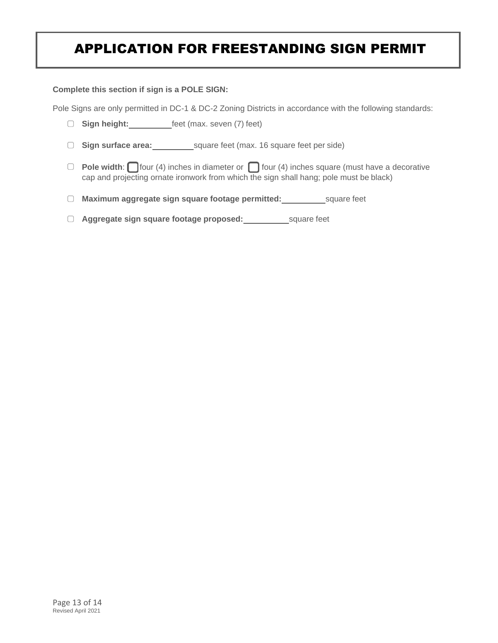**Complete this section if sign is a POLE SIGN:**

Pole Signs are only permitted in DC-1 & DC-2 Zoning Districts in accordance with the following standards:

- **Sign height:** feet (max. seven (7) feet)
- □ **Sign surface area:** square feet (max. 16 square feet per side)
- **Pole width:** four (4) inches in diameter or **four** (4) inches square (must have a decorative cap and projecting ornate ironwork from which the sign shall hang; pole must be black)
- **Maximum aggregate sign square footage permitted:** square feet
- **Aggregate sign square footage proposed:** square feet